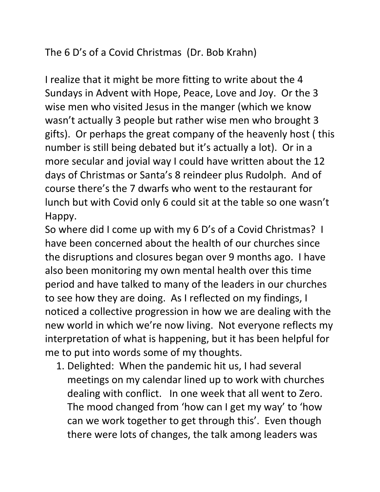## The 6 D's of a Covid Christmas (Dr. Bob Krahn)

I realize that it might be more fitting to write about the 4 Sundays in Advent with Hope, Peace, Love and Joy. Or the 3 wise men who visited Jesus in the manger (which we know wasn't actually 3 people but rather wise men who brought 3 gifts). Or perhaps the great company of the heavenly host ( this number is still being debated but it's actually a lot). Or in a more secular and jovial way I could have written about the 12 days of Christmas or Santa's 8 reindeer plus Rudolph. And of course there's the 7 dwarfs who went to the restaurant for lunch but with Covid only 6 could sit at the table so one wasn't Happy.

So where did I come up with my 6 D's of a Covid Christmas? I have been concerned about the health of our churches since the disruptions and closures began over 9 months ago. I have also been monitoring my own mental health over this time period and have talked to many of the leaders in our churches to see how they are doing. As I reflected on my findings, I noticed a collective progression in how we are dealing with the new world in which we're now living. Not everyone reflects my interpretation of what is happening, but it has been helpful for me to put into words some of my thoughts.

1. Delighted: When the pandemic hit us, I had several meetings on my calendar lined up to work with churches dealing with conflict. In one week that all went to Zero. The mood changed from 'how can I get my way' to 'how can we work together to get through this'. Even though there were lots of changes, the talk among leaders was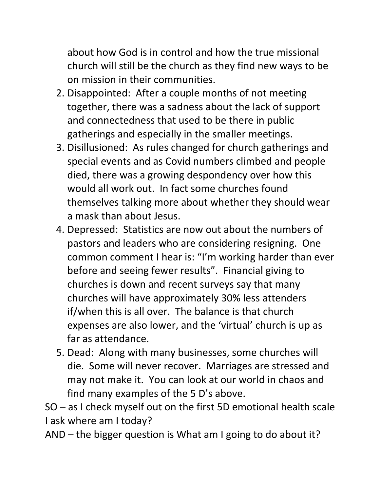about how God is in control and how the true missional church will still be the church as they find new ways to be on mission in their communities.

- 2. Disappointed: After a couple months of not meeting together, there was a sadness about the lack of support and connectedness that used to be there in public gatherings and especially in the smaller meetings.
- 3. Disillusioned: As rules changed for church gatherings and special events and as Covid numbers climbed and people died, there was a growing despondency over how this would all work out. In fact some churches found themselves talking more about whether they should wear a mask than about Jesus.
- 4. Depressed: Statistics are now out about the numbers of pastors and leaders who are considering resigning. One common comment I hear is: "I'm working harder than ever before and seeing fewer results". Financial giving to churches is down and recent surveys say that many churches will have approximately 30% less attenders if/when this is all over. The balance is that church expenses are also lower, and the 'virtual' church is up as far as attendance.
- 5. Dead: Along with many businesses, some churches will die. Some will never recover. Marriages are stressed and may not make it. You can look at our world in chaos and find many examples of the 5 D's above.

SO – as I check myself out on the first 5D emotional health scale I ask where am I today?

AND – the bigger question is What am I going to do about it?